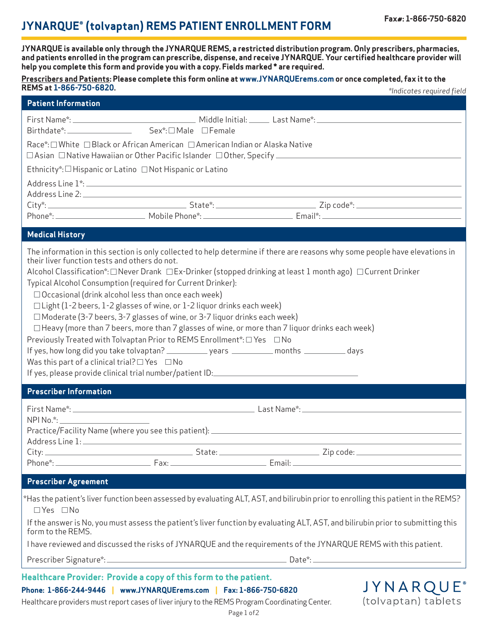# **JYNARQUE® (tolvaptan) REMS PATIENT ENROLLMENT FORM Fax#: 1-866-750-6820**

**JYNARQUE®** (tolvaptan) tablets

**JYNARQUE is available only through the JYNARQUE REMS, a restricted distribution program. Only prescribers, pharmacies, and patients enrolled in the program can prescribe, dispense, and receive JYNARQUE. Your certified healthcare provider will help you complete this form and provide you with a copy. Fields marked \* are required.** 

#### **Prescribers and Patients: Please complete this form online at www.JYNARQUErems.com or once completed, fax it to the REMS at 1-866-750-6820.** *\*Indicates required field*

|                                                                                                                                                                                                                                                                                                                                                                                                                                                                                                                                                                                                                                                                                                                                                                                                                                                                                                                                               |  | "Indicates required field |
|-----------------------------------------------------------------------------------------------------------------------------------------------------------------------------------------------------------------------------------------------------------------------------------------------------------------------------------------------------------------------------------------------------------------------------------------------------------------------------------------------------------------------------------------------------------------------------------------------------------------------------------------------------------------------------------------------------------------------------------------------------------------------------------------------------------------------------------------------------------------------------------------------------------------------------------------------|--|---------------------------|
| <b>Patient Information</b>                                                                                                                                                                                                                                                                                                                                                                                                                                                                                                                                                                                                                                                                                                                                                                                                                                                                                                                    |  |                           |
|                                                                                                                                                                                                                                                                                                                                                                                                                                                                                                                                                                                                                                                                                                                                                                                                                                                                                                                                               |  |                           |
|                                                                                                                                                                                                                                                                                                                                                                                                                                                                                                                                                                                                                                                                                                                                                                                                                                                                                                                                               |  |                           |
| Race*: □ White □ Black or African American □ American Indian or Alaska Native                                                                                                                                                                                                                                                                                                                                                                                                                                                                                                                                                                                                                                                                                                                                                                                                                                                                 |  |                           |
| Ethnicity*: $\Box$ Hispanic or Latino $\Box$ Not Hispanic or Latino                                                                                                                                                                                                                                                                                                                                                                                                                                                                                                                                                                                                                                                                                                                                                                                                                                                                           |  |                           |
|                                                                                                                                                                                                                                                                                                                                                                                                                                                                                                                                                                                                                                                                                                                                                                                                                                                                                                                                               |  |                           |
|                                                                                                                                                                                                                                                                                                                                                                                                                                                                                                                                                                                                                                                                                                                                                                                                                                                                                                                                               |  |                           |
| <b>Medical History</b>                                                                                                                                                                                                                                                                                                                                                                                                                                                                                                                                                                                                                                                                                                                                                                                                                                                                                                                        |  |                           |
| The information in this section is only collected to help determine if there are reasons why some people have elevations in<br>their liver function tests and others do not.<br>Alcohol Classification*: □ Never Drank □ Ex-Drinker (stopped drinking at least 1 month ago) □ Current Drinker<br>Typical Alcohol Consumption (required for Current Drinker):<br>$\Box$ Occasional (drink alcohol less than once each week)<br>$\Box$ Light (1-2 beers, 1-2 glasses of wine, or 1-2 liquor drinks each week)<br>□ Moderate (3-7 beers, 3-7 glasses of wine, or 3-7 liquor drinks each week)<br>$\Box$ Heavy (more than 7 beers, more than 7 glasses of wine, or more than 7 liquor drinks each week)<br>Previously Treated with Tolvaptan Prior to REMS Enrollment*: □ Yes □ No<br>If yes, how long did you take tolvaptan? _____________ years ___________ months ___________ days<br>Was this part of a clinical trial? $\Box$ Yes $\Box$ No |  |                           |
| <b>Prescriber Information</b>                                                                                                                                                                                                                                                                                                                                                                                                                                                                                                                                                                                                                                                                                                                                                                                                                                                                                                                 |  |                           |
|                                                                                                                                                                                                                                                                                                                                                                                                                                                                                                                                                                                                                                                                                                                                                                                                                                                                                                                                               |  |                           |
| NPI No.*:                                                                                                                                                                                                                                                                                                                                                                                                                                                                                                                                                                                                                                                                                                                                                                                                                                                                                                                                     |  |                           |
|                                                                                                                                                                                                                                                                                                                                                                                                                                                                                                                                                                                                                                                                                                                                                                                                                                                                                                                                               |  |                           |
|                                                                                                                                                                                                                                                                                                                                                                                                                                                                                                                                                                                                                                                                                                                                                                                                                                                                                                                                               |  |                           |
| <b>Prescriber Agreement</b>                                                                                                                                                                                                                                                                                                                                                                                                                                                                                                                                                                                                                                                                                                                                                                                                                                                                                                                   |  |                           |
| *Has the patient's liver function been assessed by evaluating ALT, AST, and bilirubin prior to enrolling this patient in the REMS?<br>□Yes □No                                                                                                                                                                                                                                                                                                                                                                                                                                                                                                                                                                                                                                                                                                                                                                                                |  |                           |
| If the answer is No, you must assess the patient's liver function by evaluating ALT, AST, and bilirubin prior to submitting this<br>form to the REMS.                                                                                                                                                                                                                                                                                                                                                                                                                                                                                                                                                                                                                                                                                                                                                                                         |  |                           |
| I have reviewed and discussed the risks of JYNARQUE and the requirements of the JYNARQUE REMS with this patient.                                                                                                                                                                                                                                                                                                                                                                                                                                                                                                                                                                                                                                                                                                                                                                                                                              |  |                           |
|                                                                                                                                                                                                                                                                                                                                                                                                                                                                                                                                                                                                                                                                                                                                                                                                                                                                                                                                               |  |                           |
|                                                                                                                                                                                                                                                                                                                                                                                                                                                                                                                                                                                                                                                                                                                                                                                                                                                                                                                                               |  |                           |

## **Healthcare Provider: Provide a copy of this form to the patient.**

**Phone: 1-866-244-9446 | www.JYNARQUErems.com | Fax: 1-866-750-6820**

Healthcare providers must report cases of liver injury to the REMS Program Coordinating Center.